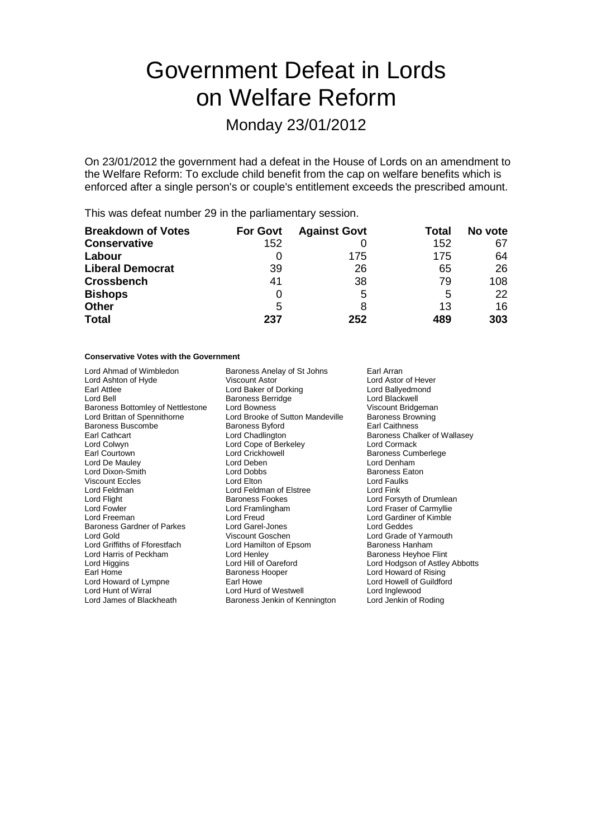# Government Defeat in Lords on Welfare Reform

# Monday 23/01/2012

On 23/01/2012 the government had a defeat in the House of Lords on an amendment to the Welfare Reform: To exclude child benefit from the cap on welfare benefits which is enforced after a single person's or couple's entitlement exceeds the prescribed amount.

This was defeat number 29 in the parliamentary session.

| <b>Breakdown of Votes</b> | <b>For Govt</b> | <b>Against Govt</b> | Total | No vote |
|---------------------------|-----------------|---------------------|-------|---------|
| <b>Conservative</b>       | 152             |                     | 152   | 67      |
| Labour                    |                 | 175                 | 175   | 64      |
| <b>Liberal Democrat</b>   | 39              | 26                  | 65    | 26      |
| <b>Crossbench</b>         | 41              | 38                  | 79    | 108     |
| <b>Bishops</b>            | O               | 5                   | 5     | 22      |
| <b>Other</b>              | 5               |                     | 13    | 16      |
| <b>Total</b>              | 237             | 252                 | 489   | 303     |

#### **Conservative Votes with the Government**

| Lord Ahmad of Wimbledon           | Baroness Anelay of St Johns      | Earl Arran        |
|-----------------------------------|----------------------------------|-------------------|
| Lord Ashton of Hyde               | Viscount Astor                   | Lord Asto         |
| Earl Attlee                       | Lord Baker of Dorking            | Lord Bally        |
| Lord Bell                         | <b>Baroness Berridge</b>         | Lord Blacl        |
| Baroness Bottomley of Nettlestone | Lord Bowness                     | Viscount I        |
| Lord Brittan of Spennithorne      | Lord Brooke of Sutton Mandeville | <b>Baroness</b>   |
| <b>Baroness Buscombe</b>          | Baroness Byford                  | <b>Earl Caith</b> |
| Earl Cathcart                     | Lord Chadlington                 | <b>Baroness</b>   |
| Lord Colwyn                       | Lord Cope of Berkeley            | Lord Corn         |
| Earl Courtown                     | <b>Lord Crickhowell</b>          | <b>Baroness</b>   |
| Lord De Mauley                    | Lord Deben                       | Lord Denh         |
| Lord Dixon-Smith                  | Lord Dobbs                       | <b>Baroness</b>   |
| <b>Viscount Eccles</b>            | Lord Elton                       | Lord Faull        |
| Lord Feldman                      | Lord Feldman of Elstree          | Lord Fink         |
| Lord Flight                       | <b>Baroness Fookes</b>           | Lord Fors         |
| Lord Fowler                       | Lord Framlingham                 | Lord Fras         |
| Lord Freeman                      | Lord Freud                       | Lord Gard         |
| <b>Baroness Gardner of Parkes</b> | Lord Garel-Jones                 | Lord Gedo         |
| Lord Gold                         | Viscount Goschen                 | Lord Grad         |
| Lord Griffiths of Fforestfach     | Lord Hamilton of Epsom           | <b>Baroness</b>   |
| Lord Harris of Peckham            | Lord Henley                      | <b>Baroness</b>   |
| Lord Higgins                      | Lord Hill of Oareford            | Lord Hodg         |
| Earl Home                         | Baroness Hooper                  | Lord Howa         |
| Lord Howard of Lympne             | Earl Howe                        | Lord How          |
| Lord Hunt of Wirral               | Lord Hurd of Westwell            | Lord Ingle        |
| Lord James of Blackheath          | Baroness Jenkin of Kennington    | Lord Jenk         |

Johns Earl Arran Lord Astor of Hever Lord Ballyedmond Lord Blackwell Viscount Bridgeman<br>Mandeville Baroness Browning Baroness Browning Earl Caithness Baroness Chalker of Wallasey Lord Cormack Baroness Cumberlege Lord Denham Baroness Eaton Lord Faulks Lord Forsyth of Drumlean Lord Fraser of Carmyllie Lord Gardiner of Kimble Lord Geddes Lord Grade of Yarmouth<br>Moreon Baroness Hanham Baroness Hanham Baroness Heyhoe Flint Lord Hodgson of Astley Abbotts Lord Howard of Rising Lord Howell of Guildford Lord Inglewood<br>Annington Lord Jenkin of F Lord Jenkin of Roding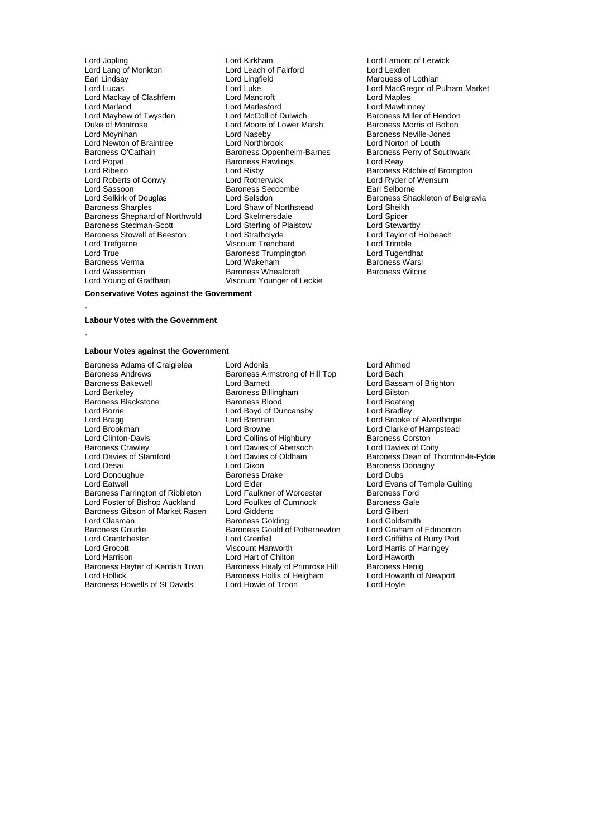Lord Jopling Lord Kirkham Lord Lamont of Lerwick Lord Lang of Monkton Lord Leach of Fairford<br>
Earl Lindsay Lord Lingfield Earl Lindsay Lord Lingfield Marquess of Lothian Lord Mackay of Clashfern Lord Mancroft<br>
Lord Marland Lord Marlesford Lord Mayhew of Twysden Lord McColl of Dulwich Baroness Miller of Hendon<br>
Duke of Montrose Lord Moore of Lower Marsh Baroness Morris of Bolton Duke of Montrose **Lord Moore of Lower Marsh Lord Moore of Lower Marsh**<br>
Lord Moynihan **Baroness Morris Corp.**<br>
Lord Naseby Lord Newton of Braintree Lord Northbrook Lord Norton of Louth Baroness O'Cathain **Baroness O'Cathain**<br>Lord Popat **Baroness Baroness Rawlings** Baroness Rawlings **Baroness** Rawlings Lord Reav Lord Popat **Baroness Rawlings**<br>
Lord Ribeiro<br>
Lord Risby Lord Ribeiro **Lord Risby** Cord Risby Baroness Ritchie of Brompton<br>
Lord Roberts of Conwy Lord Rotherwick Lord Rotherwick Lord Ryder of Wensum Lord Roberts of Conwy **Lord Rotherwick** Lord Roberts of Wensum<br>
Lord Sassoon **Conwy** Baroness Seccombe **Lord Sassoon Lord Sassoon** Lord Sassoon **Baroness Seccombe**<br> **Sale Baroness Seccombe**<br>
Lord Selsdon<br>
Lord Selsdon Lord Selkirk of Douglas Cord Selsdon<br>Baroness Sharples Cord Shaw of Northstead Baroness Shackleton of Belgravia Baroness Shephard of Northwold<br>
Baroness Shephard of Northwold<br>
Baroness Stedman-Scott<br>
Lord Sterling of Plaistow<br>
Lord Stewartby Baroness Stowell of Beeston Lord Strathclyde Lord Taylor of Taylor of Holbeach Lord Trimble<br>
Lord Trenchard Lord Trimble Lord True **Communist Communist Communist Communist Communist Communist Communist Communist Communist Communist Communist Communist Communist Communist Communist Communist Communist Communist Communist Communist Communist C** Baroness Verma Lord Wakeham Baroness Warsi Lord Young of Graffham

Lord Marlesford<br>
Lord McColl of Dulwich<br>
Baroness Miller of Hendon Lord Naseby **Baroness Neville-Jones**<br>
Lord Northbrook **Baroness**<br>
Lord Northbrook **Baroness** Lord Shaw of Northstead Lord Sheikh<br>Lord Skelmersdale Lord Spicer Lord Sterling of Plaistow Lord Stewartby<br>
Lord Strathclyde Cord Taylor of Holbeach Viscount Trenchard<br>
Baroness Trumpington<br>
Lord Tugendhat Baroness Wheatcroft<br>Viscount Younger of Leckie

Lord Luke<br>
Lord Mancroft Lord Maples<br>
Lord Maples

**Conservative Votes against the Government**

#### **Labour Votes with the Government**

**-**

**-**

#### **Labour Votes against the Government**

Baroness Adams of Craigielea Lord Adonis<br>
Baroness Andrews Baroness Armstrong of Hill Top Lord Bach Baroness Andrews **Baroness Armstrong of Hill Top**<br>Baroness Bakewell **Baroness** Lord Barnett Baroness Bakewell **Example 2 Lord Barnett** Cord Barnett Lord Baroness Billingham<br>
Lord Berkeley **Baroness Billingham** Lord Bilston Baroness Blackstone Exercise Baroness Blood<br>Lord Boateng Baroness Blood<br>Lord Boateng Lord Boateng Lord Boateng Lord Borrie Lord Boyd of Duncansby<br>
Lord Bragg<br>
Lord Brennan Lord Bragg Lord Brennan Cord Brennan Lord Brooke of Alverthorpe<br>
Lord Brookman Lord Brooke Lord Brooke Lord Clarke of Hampstead Lord Brookman **Lord Brookman** Lord Browne Lord Clarke of Hampstead<br>
Lord Clinton-Davis **Lord Collins of Highbury** Baroness Corston Lord Clinton-Davis **Lord Collins of Highbury** Baroness Corston<br>
Baroness Crawley **Baroness Crawley** Lord Davies of Abersoch Lord Davies of Coity Baroness Crawley **Lord Davies of Abersoch Lord Davies of Abersoch Lord Davies of Oldham** Lord Donoughue Baroness I<br>
Lord Eatwell<br>
Lord Elder Baroness Farrington of Ribbleton Lord Faulkner of Worcester Baroness Ford<br>
Lord Foster of Bishop Auckland Lord Foulkes of Cumnock Baroness Gale Lord Foster of Bishop Auckland Lord Foulkes of Cumnock Baroness G<br>Baroness Gibson of Market Rasen Lord Giddens Lord Gilbert Baroness Gibson of Market Rasen Lord Giddens Lord Gilbert Lord Glasman Baroness Golding Lord Goldsmith Baroness Goudie **Baroness Gould of Potternewton** Lord Graham of Edmonton Lord Grantchester Lord Grenfell Lord Griffiths of Burry Port Lord Harrison **Lord Hart of Chilton** Lord Hart of Chilton Lord Haworth<br>Baroness Hayter of Kentish Town Baroness Healy of Primrose Hill Baroness Henig Baroness Hayter of Kentish Town Baroness Healy of Primrose Hill Baroness Henig<br>Lord Hollick Baroness Hollis of Heigham Lord Howarth of Newport Baroness Howells of St Davids

**Examples Baroness Billingham Lord Bilston<br>
Baroness Blood Boateng**<br>
Lord Boateng Lord Dixon **Disk Communist Constructs** Baroness Donaghy<br>
Baroness Drake **Baroness** Lord Dubs Lord Elder<br>
Lord Eatlkner of Worcester<br>
Baroness Ford<br>
Example Guiting Baroness Hollis of Heigham Lord Howarth Lord Howarth Cord Howarth Lord Hovle

Lord Davies of Stamford Lord Davies of Oldham Baroness Dean of Thornton-le-Fylde Lord Harris of Haringey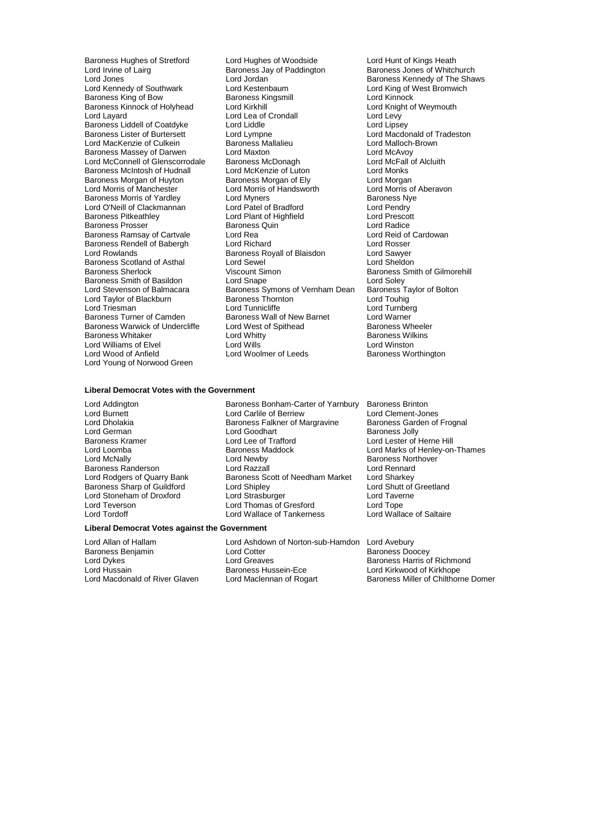Baroness Liddell of Coatdyke Lord Liddle<br>Baroness Lister of Burtersett Lord Lympne Baroness Rendell of Babergh<br>Lord Rowlands Baroness Scotland of Asthal Lord Sewel<br>
Baroness Sherlock Consult Sheldon Viscount Simon Baroness Smith of Basildon<br>Lord Stevenson of Balmacara Lord Williams of Elvel **Lord Wills**<br>
Lord Wood of Anfield
Lord Woolmer of Leeds Lord Young of Norwood Green

Baroness Hughes of Stretford Lord Hughes of Woodside Lord Hunt of Kings Heath<br>
Lord Irvine of Lairg **Baroness Lord Baroness Lord Irvine** Baroness Jones of Whitch Lord Irvine of Lairg **Baroness Jay of Paddington** Baroness Jones of Whitchurch<br>Lord Jones Lord Jordan Baroness Kennedy of The Shar Lord Jordan **Baroness Kennedy of The Shaws**<br>
Lord Kestenbaum **Baroness Kennedy of The Shaws** Lord Kennedy of Southwark Lord Kestenbaum Lord Kennedy of Ning of V<br>Baroness King of Bow Baroness Kingsmill Lord Kinnock Baroness King of Bow **Baroness Kingsmill Baroness Kingsmill** Lord Kinnock<br>
Baroness Kinnock of Holyhead Lord Kirkhill **Baroness Kingsmill** Lord Knight of Weymouth Baroness Kinnock of Holyhead Lord Kirkhill Lord Cord Cord Lord Knight Cord Lord Lord Levy<br>
Lord Lord Lord Levymouth Lord Levy Lord Lea of Crondall Lord Levy<br>
Lord Liddle Lord Lipsey<br>
Lord Liddle Lord Lipsey Lord Lympne<br>Baroness Mallalieu **Communist Lord Macdonald of Tradeston**<br>Lord Malloch-Brown Lord MacKenzie of Culkein Baroness Mallalieu<br>
Baroness Massev of Darwen Lord Maxton Lord Maxton Lord McAvoy Baroness Massey of Darwen Lord Maxton Lord Maxton Lord McAvoy<br>
Lord McConnell of Glenscorrodale Baroness McDonagh Lord McFall of Alcluith Lord McConnell of Glenscorrodale Baroness McDonagh Cord McFall Lord McFall Cord McFall Cord Monks Baroness McIntosh of Hudnall Lord McKenzie of Luton Lord Monks<br>Baroness Morgan of Huyton Baroness Morgan of Ely Lord Morgan Baroness Morgan of Huyton Baroness Morgan of Ely Lord Morgan<br>
Lord Morris of Manchester Lord Morris of Handsworth Lord Morris of Aberavon Lord Morris of Manchester Lord Morris of Handsworth Lord Morris of Baroness Norris of Aberavon Lord Myners Chandsworth Aberavoness Nye Baroness Morris of Yardley **Lord Myners** Community Baroness Ny<br>
Lord O'Neill of Clackmannan Lord Patel of Bradford Lord Pendry Lord O'Neill of Clackmannan Lord Patel of Bradford Lord Pendry Lord Plant of Highfield<br>Baroness Quin Lord Radice Baroness Prosser and Baroness Quin **Constanting Constructs Constructs Constructs** Lord Radice<br>Baroness Ramsay of Cartvale **Constructs Lord Rearts** Lord Reid of Cardowan Baroness Ramsay of Cartvale Lord Rea Lord Rea Lord Reid of Cord Reid of Cartvale Lord Reid of Cartvale Lord Rosser<br>Baroness Rendell of Babergh Lord Richard Cord Richard Cord Rosser Baroness Royall of Blaisdon **Lord Sawyer**<br>
Lord Sewel **Lord Sheldon** Viscount Simon Baroness Smith of Gilmorehill<br>
Lord Soley<br>
Baroness Symons of Vernham Dean Baroness Taylor of Bolton Baroness Symons of Vernham Dean Baroness Ta<br>Baroness Thornton Lord Touhig Lord Taylor of Blackburn **Baroness Thornton** Baroness Thornton Lord Touhig<br>
Lord Triesman **Baroness Thornton Corporation** Lord Turnberg Lord Tunnicliffe **Lord Tunnber**<br>Baroness Wall of New Barnet **Lord Warner** Baroness Turner of Camden **Baroness Wall of New Barnet** Lord Warner Lord Warner **Baroness Wheeler** Lord West of Spithead **Baroness Wheeler** Baroness Warwick of Undercliffe Lord West of Spithead **Baroness Wheelers** Baroness Wheelers Baroness Wilkins Baroness Whitaker Lord Whitty Baroness Wilkins

Baroness Worthington

## **Liberal Democrat Votes with the Government**

Lord Addington **Baroness Bonham-Carter of Yarnbury** Baroness Brinton<br>Lord Burnett **Baroness Brinton** Lord Cartile of Berriew Lord Clement-Jones Lord Burnett Lord Carlile of Berriew Lord Clement-Jones<br>
Lord Dholakia Baroness Falkner of Margravine Baroness Garden of Frognal Lord Dholakia Baroness Falkner of Margravine<br>Baroness Falkner of Margravine Lord German<br>
Lord German **Lord Goodhart** Lord Goodhart **Baroness Jolly**<br>
Baroness Kramer **Lord Lee of Trafford** Lord Lester of I Baroness Kramer **Lord Lee of Trafford Lord Learned Lord Lester of Herne Hill**<br>
Lord Loomba<br>
Lord Loomba<br>
Lord Loomba Lord Loomba Baroness Maddock Lord Marks of Henley-on-Thames Lord Newby **Baroness Northover**<br>
Lord Razzall **Lord Rennard** Baroness Randerson **Lord Razzall** Lord Rennard<br>
Lord Rodgers of Quarry Bank **Baroness Scott of Needham Market** Lord Sharkey Baroness Scott of Needham Market Lord Sharkey<br>Lord Shipley Lord Shutt of Greetland Baroness Sharp of Guildford Lord Shipley Lord Shutt of Lord Shutt of Lord Shutt of Lord Shutt of Lord Taverne Lord Stoneham of Droxford Lord Strasburger Lord Taverness and Lord Taverness and Lord Taverness and Lord Tope Lord Tope Cord Taverness and Lord Tope Cord Taverness and Lord Tope Cord Tope Cord Tope Cord Tope Cord Tope Cord Lord Teverson Lord Thomas of Gresford Lord Tope Lord Wallace of Tankerness

#### **Liberal Democrat Votes against the Government**

Baroness Benjamin **Baroness Benjamin** Lord Cotter Lord Cotter Lord Creaves

Lord Allan of Hallam Lord Ashdown of Norton-sub-Hamdon Lord Avebury Lord Dykes **Lord Greaves** Lord Greaves **Baroness Harris of Richmond**<br>Lord Hussain **Baroness Hussein-Ece** Lord Kirkwood of Kirkhope Lord Hussain **Baroness Hussein-Ece** Lord Kirkwood of Kirkhope<br>Lord Macdonald of River Glaven Lord Maclennan of Rogart Baroness Miller of Chilthori

Baroness Miller of Chilthorne Domer